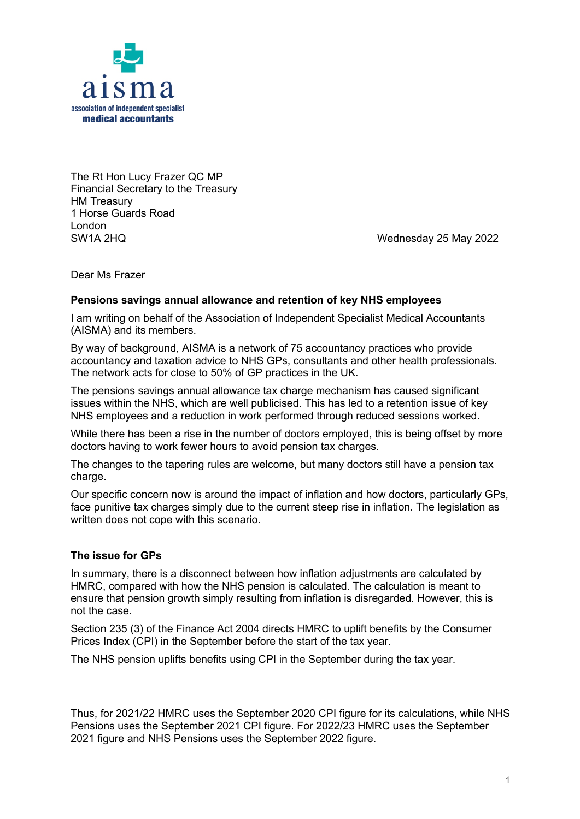

The Rt Hon Lucy Frazer QC MP Financial Secretary to the Treasury HM Treasury 1 Horse Guards Road London SW1A 2HQ Wednesday 25 May 2022

Dear Ms Frazer

# **Pensions savings annual allowance and retention of key NHS employees**

I am writing on behalf of the Association of Independent Specialist Medical Accountants (AISMA) and its members.

By way of background, AISMA is a network of 75 accountancy practices who provide accountancy and taxation advice to NHS GPs, consultants and other health professionals. The network acts for close to 50% of GP practices in the UK.

The pensions savings annual allowance tax charge mechanism has caused significant issues within the NHS, which are well publicised. This has led to a retention issue of key NHS employees and a reduction in work performed through reduced sessions worked.

While there has been a rise in the number of doctors employed, this is being offset by more doctors having to work fewer hours to avoid pension tax charges.

The changes to the tapering rules are welcome, but many doctors still have a pension tax charge.

Our specific concern now is around the impact of inflation and how doctors, particularly GPs, face punitive tax charges simply due to the current steep rise in inflation. The legislation as written does not cope with this scenario.

# **The issue for GPs**

In summary, there is a disconnect between how inflation adjustments are calculated by HMRC, compared with how the NHS pension is calculated. The calculation is meant to ensure that pension growth simply resulting from inflation is disregarded. However, this is not the case.

Section 235 (3) of the Finance Act 2004 directs HMRC to uplift benefits by the Consumer Prices Index (CPI) in the September before the start of the tax year.

The NHS pension uplifts benefits using CPI in the September during the tax year.

Thus, for 2021/22 HMRC uses the September 2020 CPI figure for its calculations, while NHS Pensions uses the September 2021 CPI figure. For 2022/23 HMRC uses the September 2021 figure and NHS Pensions uses the September 2022 figure.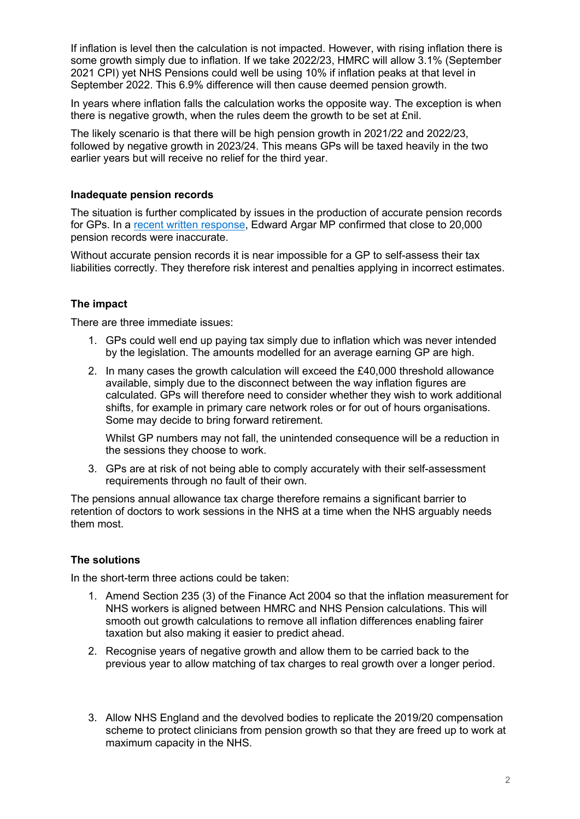If inflation is level then the calculation is not impacted. However, with rising inflation there is some growth simply due to inflation. If we take 2022/23, HMRC will allow 3.1% (September 2021 CPI) yet NHS Pensions could well be using 10% if inflation peaks at that level in September 2022. This 6.9% difference will then cause deemed pension growth.

In years where inflation falls the calculation works the opposite way. The exception is when there is negative growth, when the rules deem the growth to be set at £nil.

The likely scenario is that there will be high pension growth in 2021/22 and 2022/23, followed by negative growth in 2023/24. This means GPs will be taxed heavily in the two earlier years but will receive no relief for the third year.

## **Inadequate pension records**

The situation is further complicated by issues in the production of accurate pension records for GPs. In a recent written response, Edward Argar MP confirmed that close to 20,000 pension records were inaccurate.

Without accurate pension records it is near impossible for a GP to self-assess their tax liabilities correctly. They therefore risk interest and penalties applying in incorrect estimates.

# **The impact**

There are three immediate issues:

- 1. GPs could well end up paying tax simply due to inflation which was never intended by the legislation. The amounts modelled for an average earning GP are high.
- 2. In many cases the growth calculation will exceed the £40,000 threshold allowance available, simply due to the disconnect between the way inflation figures are calculated. GPs will therefore need to consider whether they wish to work additional shifts, for example in primary care network roles or for out of hours organisations. Some may decide to bring forward retirement.

Whilst GP numbers may not fall, the unintended consequence will be a reduction in the sessions they choose to work.

3. GPs are at risk of not being able to comply accurately with their self-assessment requirements through no fault of their own.

The pensions annual allowance tax charge therefore remains a significant barrier to retention of doctors to work sessions in the NHS at a time when the NHS arguably needs them most.

### **The solutions**

In the short-term three actions could be taken:

- 1. Amend Section 235 (3) of the Finance Act 2004 so that the inflation measurement for NHS workers is aligned between HMRC and NHS Pension calculations. This will smooth out growth calculations to remove all inflation differences enabling fairer taxation but also making it easier to predict ahead.
- 2. Recognise years of negative growth and allow them to be carried back to the previous year to allow matching of tax charges to real growth over a longer period.
- 3. Allow NHS England and the devolved bodies to replicate the 2019/20 compensation scheme to protect clinicians from pension growth so that they are freed up to work at maximum capacity in the NHS.